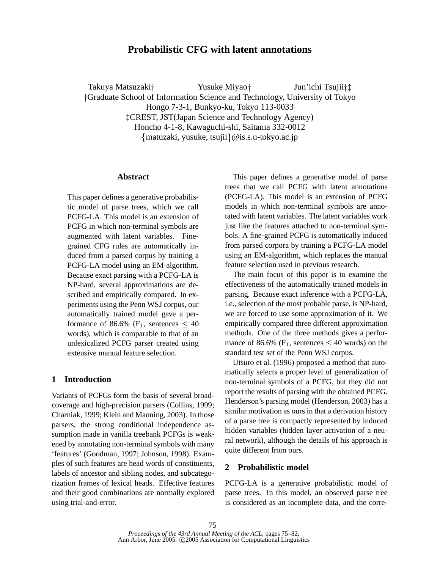# **Probabilistic CFG with latent annotations**

Takuya Matsuzaki Yusuke Miyao Jun'ichi Tsujii†‡ Graduate School of Information Science and Technology, University of Tokyo Hongo 7-3-1, Bunkyo-ku, Tokyo 113-0033 CREST, JST(Japan Science and Technology Agency) Honcho 4-1-8, Kawaguchi-shi, Saitama 332-0012 matuzaki, yusuke, tsujii @is.s.u-tokyo.ac.jp

## **Abstract**

This paper defines a generative probabilistic model of parse trees, which we call PCFG-LA. This model is an extension of PCFG in which non-terminal symbols are augmented with latent variables. Finegrained CFG rules are automatically induced from a parsed corpus by training a PCFG-LA model using an EM-algorithm. Because exact parsing with a PCFG-LA is NP-hard, several approximations are described and empirically compared. In experiments using the Penn WSJ corpus, our automatically trained model gave a performance of 86.6% (F<sub>1</sub>, sentences  $\leq 40$ words), which is comparable to that of an unlexicalized PCFG parser created using extensive manual feature selection.

# **1 Introduction**

Variants of PCFGs form the basis of several broadcoverage and high-precision parsers (Collins, 1999; Charniak, 1999; Klein and Manning, 2003). In those parsers, the strong conditional independence assumption made in vanilla treebank PCFGs is weakened by annotating non-terminal symbols with many 'features' (Goodman, 1997; Johnson, 1998). Examples of such features are head words of constituents, labels of ancestor and sibling nodes, and subcategorization frames of lexical heads. Effective features and their good combinations are normally explored using trial-and-error.

This paper defines a generative model of parse trees that we call PCFG with latent annotations (PCFG-LA). This model is an extension of PCFG models in which non-terminal symbols are annotated with latent variables. The latent variables work just like the features attached to non-terminal symbols. A fine-grained PCFG is automatically induced from parsed corpora by training a PCFG-LA model using an EM-algorithm, which replaces the manual feature selection used in previous research.

The main focus of this paper is to examine the effectiveness of the automatically trained models in parsing. Because exact inference with a PCFG-LA, i.e., selection of the most probable parse, is NP-hard, we are forced to use some approximation of it. We empirically compared three different approximation methods. One of the three methods gives a performance of 86.6% ( $F_1$ , sentences  $\leq 40$  words) on the standard test set of the Penn WSJ corpus.

Utsuro et al. (1996) proposed a method that automatically selects a proper level of generalization of non-terminal symbols of a PCFG, but they did not report the results of parsing with the obtained PCFG. Henderson's parsing model (Henderson, 2003) has a similar motivation as ours in that a derivation history of a parse tree is compactly represented by induced hidden variables (hidden layer activation of a neural network), although the details of his approach is quite different from ours.

## **2 Probabilistic model**

PCFG-LA is a generative probabilistic model of parse trees. In this model, an observed parse tree is considered as an incomplete data, and the corre-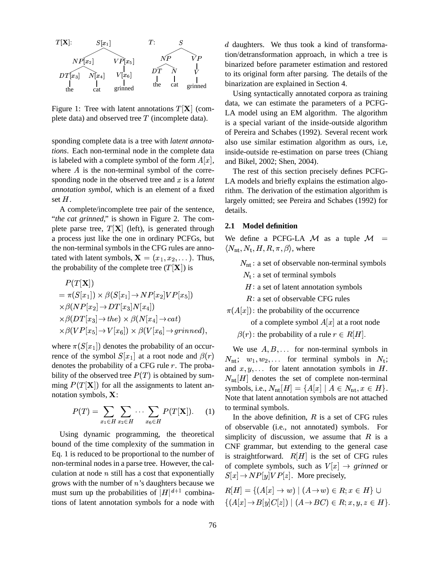

Figure 1: Tree with latent annotations  $T[\mathbf{X}]$  (complete data) and observed tree  $T$  (incomplete data).

sponding complete data is a tree with *latent annotations*. Each non-terminal node in the complete data is labeled with a complete symbol of the form  $A[x]$ , where  $A$  is the non-terminal symbol of the corresponding node in the observed tree and x is a *latent annotation symbol*, which is an element of a fixed set  $H$ .

A complete/incomplete tree pair of the sentence, "*the cat grinned*," is shown in Figure 2. The complete parse tree,  $T[X]$  (left), is generated through a process just like the one in ordinary PCFGs, but the non-terminal symbols in the CFG rules are annotated with latent symbols,  $X = (x_1, x_2, \dots)$ . Thus, the probability of the complete tree  $(T|\mathbf{X}|)$  is

$$
P(T[X])
$$
  
=  $\pi(S[x_1]) \times \beta(S[x_1] \rightarrow NP[x_2]VP[x_5])$   
 $\times \beta(NP[x_2] \rightarrow DT[x_3]N[x_4])$   
 $\times \beta(DT[x_3] \rightarrow the) \times \beta(N[x_4] \rightarrow cat)$   
 $\times \beta(VP[x_5] \rightarrow V[x_6]) \times \beta(V[x_6] \rightarrow grinned),$ 

where  $\pi(S[x_1])$  denotes the probability of an occurrence of the symbol  $S[x_1]$  at a root node and  $\beta(r)$ denotes the probability of a CFG rule  $r$ . The probability of the observed tree  $P(T)$  is obtained by summing  $P(T|\mathbf{X})$  for all the assignments to latent annotation symbols,  $X$ :

$$
P(T) = \sum_{x_1 \in H} \sum_{x_2 \in H} \cdots \sum_{x_6 \in H} P(T[\mathbf{X}]). \quad (1)
$$

Using dynamic programming, the theoretical bound of the time complexity of the summation in Eq. 1 is reduced to be proportional to the number of non-terminal nodes in a parse tree. However, the calculation at node  $n$  still has a cost that exponentially grows with the number of  $n$ 's daughters because we must sum up the probabilities of  $|H|^{d+1}$  combinations of latent annotation symbols for a node with

 $\sum_{k \in \mathbb{Z}}$  tion/detransformation approach, in which a tree is  $d$  daughters. We thus took a kind of transformabinarized before parameter estimation and restored to its original form after parsing. The details of the binarization are explained in Section 4.

> Using syntactically annotated corpora as training data, we can estimate the parameters of a PCFG-LA model using an EM algorithm. The algorithm is a special variant of the inside-outside algorithm of Pereira and Schabes (1992). Several recent work also use similar estimation algorithm as ours, i.e, inside-outside re-estimation on parse trees (Chiang and Bikel, 2002; Shen, 2004).

> The rest of this section precisely defines PCFG-LA models and briefly explains the estimation algorithm. The derivation of the estimation algorithm is largely omitted; see Pereira and Schabes (1992) for details.

### **2.1 Model definition**

We define a PCFG-LA  $\mathcal M$  as a tuple  $\mathcal M$  =  $\langle N_{\rm nt}, N_{\rm t}, H, R, \pi, \beta \rangle$ , where

- $N_{\rm nt}$ : a set of observable non-terminal symbols  $N_t$ : a set of terminal symbols  $H:$  a set of latent annotation symbols
	- $R:$  a set of observable CFG rules

 $\pi(A[x])$ : the probability of the occurrence

of a complete symbol  $A[x]$  at a root node

 $\beta(r)$ : the probability of a rule  $r \in R[H]$ .

We use  $A, B, \ldots$  for non-terminal symbols in  $N_{\text{nt}}$ ;  $w_1, w_2, \ldots$  for terminal symbols in  $N_t$ ; and  $x, y, \ldots$  for latent annotation symbols in  $H$ .  $N_{\text{nt}}[H]$  denotes the set of complete non-terminal symbols, i.e.,  $N_{\rm nt}[H] = \{A[x] \mid A \in N_{\rm nt}, x \in H\}.$ Note that latent annotation symbols are not attached to terminal symbols.

 $\sum_{x \in H}$   $\sum_{x \in H}$  (1.1.1). of observable (i.e., not annotated) symbols. For simplicity of discussion, we assume that  $R$  is a CNF grammar, but extending to the general case is straightforward.  $R[H]$  is the set of CFG rules of complete symbols, such as  $V[x] \rightarrow$  grinned or  $S[x] \to NP[y]VP[z]$ . More precisely,

$$
R[H] = \{(A[x] \to w) \mid (A \to w) \in R; x \in H\} \cup
$$
  

$$
\{(A[x] \to B[y]C[z]) \mid (A \to BC) \in R; x, y, z \in H\}.
$$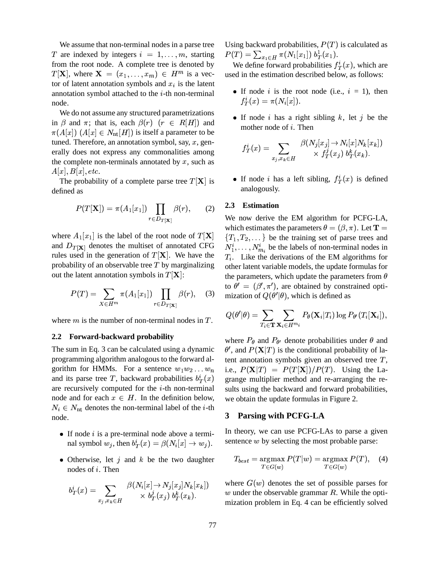We assume that non-terminal nodes in a parse tree T are indexed by integers  $i = 1, \ldots, m$ , starting from the root node. A complete tree is denoted by  $T[\mathbf{X}]$ , where  $\mathbf{X} = (x_1, \dots, x_m) \in H^m$  is a vector of latent annotation symbols and  $x_i$  is the latent annotation symbol attached to the  $i$ -th non-terminal node.

We do not assume any structured parametrizations in  $\beta$  and  $\pi$ ; that is, each  $\beta(r)$  ( $r \in R[H]$ ) and  $\pi(A[x])$   $(A[x] \in N_{\rm nt}[H])$  is itself a parameter to be tuned. Therefore, an annotation symbol, say,  $x$ , generally does not express any commonalities among the complete non-terminals annotated by  $x$ , such as  $A[x], B[x], etc.$ 

The probability of a complete parse tree  $T[\mathbf{X}]$  is defined as

$$
P(T[\mathbf{X}]) = \pi(A_1[x_1]) \prod_{r \in D_{T[\mathbf{X}]}} \beta(r), \quad (2) \quad \frac{2.3}{\text{We no}}
$$

where  $A_1[x_1]$  is the label of the root node of  $T[\mathbf{X}]$ and  $D_{T}[\mathbf{x}]$  denotes the multiset of annotated CFG rules used in the generation of  $T[\mathbf{X}]$ . We have the probability of an observable tree  $T$  by marginalizing out the latent annotation symbols in  $T[\mathbf{X}]$ :

$$
P(T) = \sum_{X \in H^m} \pi(A_1[x_1]) \prod_{r \in D_{T[\mathbf{X}]}} \beta(r), \quad (3)
$$

where  $m$  is the number of non-terminal nodes in  $T$ .

### **2.2 Forward-backward probability**

The sum in Eq. 3 can be calculated using a dynamic programming algorithm analogous to the forward algorithm for HMMs. For a sentence  $w_1w_2...w_n$ and its parse tree T, backward probabilities  $b_T^i(x)$ are recursively computed for the  $i$ -th non-terminal node and for each  $x \in H$ . In the definition below,  $N_i \in N_{\text{nt}}$  denotes the non-terminal label of the *i*-th node.

- $\bullet$  If node *i* is a pre-terminal node above a terminal symbol  $w_j$ , then  $b_T^i(x) = \beta(N_i[x] \rightarrow w_j)$ . So
- Otherwise, let  $j$  and  $k$  be the two daughter nodes of  $i$ . Then

$$
b_T^i(x)=\sum_{x_j,x_k\in H}\frac{\beta(N_i[x]\rightarrow N_j[x_j]N_k[x_k])}{\times\ b_T^j(x_j)\ b_T^k(x_k).}
$$

Using backward probabilities,  $P(T)$  is calculated as  $P(T) = \sum_{x_1 \in H} \pi(N_1[x_1]) b_T^1(x_1).$ 

We define forward probabilities  $f^i_T(x)$ , which are used in the estimation described below, as follows:

- If node i is the root node (i.e.,  $i = 1$ ), then  $f^i_T(x) = \pi(N_i[x]).$
- If node i has a right sibling k, let j be the mother node of  $i$ . Then

$$
f_T^i(x) = \sum_{x_j,x_k \in H} \frac{\beta(N_j[x_j] \to N_i[x] N_k[x_k])}{\times f_T^j(x_j) \; b_T^k(x_k).}
$$

• If node *i* has a left sibling,  $f_T^i(x)$  is defined analogously.

### **2.3 Estimation**

 $\pi(A_1[x_1])$   $\prod \beta(r)$ , (3) mization of  $Q(\theta'|\theta)$ , which is defined as We now derive the EM algorithm for PCFG-LA, which estimates the parameters  $\theta = (\beta, \pi)$ . Let **T** =  $\{T_1, T_2, \dots\}$  be the training set of parse trees and  $N_1^i, \ldots, N_{m_i}^i$  be the labels of non-terminal nodes in  $T_i$ . Like the derivations of the EM algorithms for other latent variable models, the update formulas for the parameters, which update the parameters from  $\theta$ to  $\theta' = (\beta', \pi')$ , are obtained by constrained opti-

$$
Q(\theta'|\theta) = \sum_{T_i \in \mathbf{T}} \sum_{\mathbf{X}_i \in H^{m_i}} P_{\theta}(\mathbf{X}_i|T_i) \log P_{\theta'}(T_i[\mathbf{X}_i]),
$$

 $T_T(x)$  grange multiplier method and re-arranging the rewhere  $P_{\theta}$  and  $P_{\theta'}$  denote probabilities under  $\theta$  and  $\theta'$ , and  $P(\mathbf{X}|T)$  is the conditional probability of latent annotation symbols given an observed tree  $T$ , i.e.,  $P(X|T) = P(T[X])/P(T)$ . Using the Lasults using the backward and forward probabilities, we obtain the update formulas in Figure 2.

# **3 Parsing with PCFG-LA**

In theory, we can use PCFG-LAs to parse a given sentence  $w$  by selecting the most probable parse:

$$
T_{best} = \mathop{\rm argmax}_{T \in G(w)} P(T|w) = \mathop{\rm argmax}_{T \in G(w)} P(T), \quad (4)
$$

where  $G(w)$  denotes the set of possible parses for w under the observable grammar  $R$ . While the optimization problem in Eq. 4 can be efficiently solved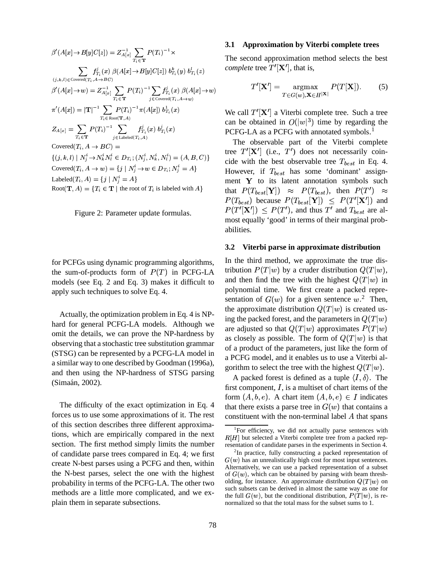$\beta'(A[x] \to B[y]C[z]) = Z_{A[x]}^{-1} \sum_{T_i \in \mathbf{T}} P(T_i)^{-1} \times$  $\sum_{(j,k,l) \in \mathrm{Covered}(T_i, A \rightarrow BC)}\hspace{-1em} f_{T_i}^j(x) \; \beta(A[x] \! \rightarrow \! B[y]C[z]) \; b_{T_i}^k(y) \; b_{T_i}^l(z)$  $\pi'\big(A[x]\big) = \vert \mathbf{T} \vert^{-1} \sum_{T_i \in \mathrm{Root}(\mathbf{T},A)} \hspace{-1mm} P(T_i)^{-1} \pi\big(A[x]\big) \, b_{T_i}^1\left(x\right)$  $Z_{A[x]} = \sum_{T_i \in \mathbf{T}} P(T_i)^{-1} \sum_{j \in \text{Labeled}(T_i, A)} f_{T_i}^j(x) b_{T_i}^j(x)$ Covered $(T_i, A \rightarrow BC)$  =  $\{(j,k,l) \mid N_i^i \rightarrow N_k^i N_l^i \in D_{T_i}; (N_i^i, N_k^i, N_l^i) = (A, B, C)\}\$ Covered $(T_i, A \rightarrow w) = \{j \mid N_i^i \rightarrow w \in D_{T_i}; N_i^i = A\}$ Labeled $(T_i, A) = \{j \mid N_i^i = A\}$ Root $(T, A) = {T_i \in T \mid \text{the root of } T_i \text{ is labeled with } A}$ 



for PCFGs using dynamic programming algorithms, the sum-of-products form of  $P(T)$  in PCFG-LA models (see Eq. 2 and Eq. 3) makes it difficult to apply such techniques to solve Eq. 4.

Actually, the optimization problem in Eq. 4 is NPhard for general PCFG-LA models. Although we omit the details, we can prove the NP-hardness by observing that a stochastic tree substitution grammar (STSG) can be represented by a PCFG-LA model in a similar way to one described by Goodman (1996a), and then using the NP-hardness of STSG parsing (Simaán, 2002).

The difficulty of the exact optimization in Eq. 4 forces us to use some approximations of it. The rest of this section describes three different approximations, which are empirically compared in the next section. The first method simply limits the number of candidate parse trees compared in Eq. 4; we first create N-best parses using a PCFG and then, within the N-best parses, select the one with the highest probability in terms of the PCFG-LA. The other two methods are a little more complicated, and we explain them in separate subsections.

#### 3.1 **Approximation by Viterbi complete trees**

The second approximation method selects the best *complete* tree  $T'[\mathbf{X}']$ , that is,

$$
T'[\mathbf{X'}] = \underset{T \in G(w), \mathbf{X} \in H^{|\mathbf{X}|}}{\operatorname{argmax}} P(T[\mathbf{X}]).
$$
 (5)

We call  $T'[\mathbf{X}]$  a Viterbi complete tree. Such a tree can be obtained in  $O(|w|^3)$  time by regarding the PCFG-LA as a PCFG with annotated symbols.<sup>1</sup>

The observable part of the Viterbi complete tree  $T'[\mathbf{X}']$  (i.e.,  $T'$ ) does not necessarily coincide with the best observable tree  $T_{best}$  in Eq. 4. However, if  $T_{best}$  has some 'dominant' assignment Y to its latent annotation symbols such that  $P(T_{best}|\mathbf{Y}|) \approx P(T_{best})$ , then  $P(T') \approx$  $P(T_{best})$  because  $P(T_{best}|\mathbf{Y}|) \leq P(T'|\mathbf{X}')$  and  $P(T'|\mathbf{X}') \leq P(T')$ , and thus T' and  $T_{best}$  are almost equally 'good' in terms of their marginal probabilities.

#### $3.2$ Viterbi parse in approximate distribution

In the third method, we approximate the true distribution  $P(T|w)$  by a cruder distribution  $Q(T|w)$ , and then find the tree with the highest  $Q(T|w)$  in polynomial time. We first create a packed representation of  $G(w)$  for a given sentence  $w^2$ . Then, the approximate distribution  $Q(T|w)$  is created using the packed forest, and the parameters in  $Q(T|w)$ are adjusted so that  $Q(T|w)$  approximates  $P(T|w)$ as closely as possible. The form of  $Q(T|w)$  is that of a product of the parameters, just like the form of a PCFG model, and it enables us to use a Viterbi algorithm to select the tree with the highest  $Q(T|w)$ .

A packed forest is defined as a tuple  $\langle I, \delta \rangle$ . The first component,  $I$ , is a multiset of chart items of the form  $(A, b, e)$ . A chart item  $(A, b, e) \in I$  indicates that there exists a parse tree in  $G(w)$  that contains a constituent with the non-terminal label A that spans

<sup>&</sup>lt;sup>1</sup>For efficiency, we did not actually parse sentences with  $R[H]$  but selected a Viterbi complete tree from a packed representation of candidate parses in the experiments in Section 4.

<sup>&</sup>lt;sup>2</sup>In practice, fully constructing a packed representation of  $G(w)$  has an unrealistically high cost for most input sentences. Alternatively, we can use a packed representation of a subset of  $G(w)$ , which can be obtained by parsing with beam thresholding, for instance. An approximate distribution  $Q(T|w)$  on such subsets can be derived in almost the same way as one for the full  $G(w)$ , but the conditional distribution,  $P(T|w)$ , is renormalized so that the total mass for the subset sums to 1.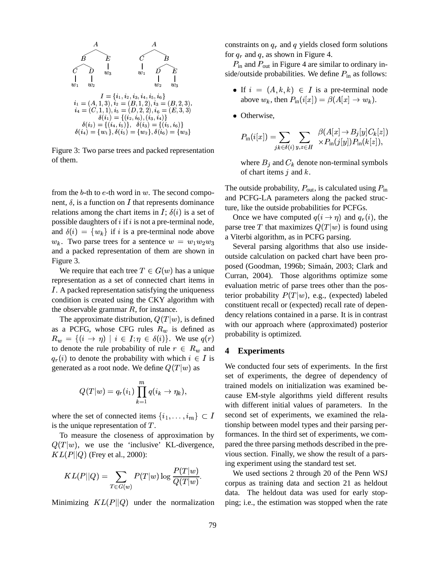

Figure 3: Two parse trees and packed representation of them.

from the  $b$ -th to  $e$ -th word in  $w$ . The second component,  $\delta$ , is a function on I that represents dominance relations among the chart items in I;  $\delta(i)$  is a set of possible daughters of  $i$  if  $i$  is not a pre-terminal node, and  $\delta(i) = \{w_k\}$  if i is a pre-terminal node above  $w_k$ . Two parse trees for a sentence  $w = w_1 w_2 w_3$ and a packed representation of them are shown in Figure 3.

We require that each tree  $T \in G(w)$  has a unique representation as a set of connected chart items in *I*. A packed representation satisfying the uniqueness condition is created using the CKY algorithm with the observable grammar  $R$ , for instance.

The approximate distribution,  $Q(T|w)$ , is defined as a PCFG, whose CFG rules  $R_w$  is defined as  $R_w = \{ (i \rightarrow \eta) \mid i \in I; \eta \in \delta(i) \}.$  We use  $q(r)$ to denote the rule probability of rule  $r \in R_w$  and  $q_r(i)$  to denote the probability with which  $i \in I$  is generated as a root node. We define  $Q(T|w)$  as

$$
Q(T|w) = q_r(i_1) \prod_{k=1}^m q(i_k \to \eta_k),
$$

where the set of connected items  $\{i_1, \ldots, i_m\} \subset I$ is the unique representation of  $T$ .

To measure the closeness of approximation by  $Q(T|w)$ , we use the 'inclusive' KL-divergence,  $KL(P||Q)$  (Frey et al., 2000):

$$
KL(P||Q) = \sum_{T \in G(w)} P(T|w) \log \frac{P(T|w)}{Q(T|w)}.
$$

Minimizing  $KL(P||Q)$  under the normalization

constraints on  $q_r$  and q yields closed form solutions for  $q_r$  and q, as shown in Figure 4.

 $P_{\text{in}}$  and  $P_{\text{out}}$  in Figure 4 are similar to ordinary inside/outside probabilities. We define  $P_{\text{in}}$  as follows:

- If  $i = (A, k, k) \in I$  is a pre-terminal node above  $w_k$ , then  $P_{\text{in}}(i[x]) = \beta(A[x] \rightarrow w_k)$ .
- Otherwise,

$$
P_{\text{in}}(i[x]) = \sum_{jk \in \delta(i)} \sum_{y,z \in H} \frac{\beta(A[x] \to B_j[y]C_k[z])}{\times P_{\text{in}}(j[y])P_{\text{in}}(k[z])},
$$

where  $B_j$  and  $C_k$  denote non-terminal symbols of chart items  $j$  and  $k$ .

The outside probability,  $P_{\text{out}}$ , is calculated using  $P_{\text{in}}$ and PCFG-LA parameters along the packed structure, like the outside probabilities for PCFGs.

Once we have computed  $q(i \rightarrow \eta)$  and  $q_r(i)$ , the parse tree T that maximizes  $Q(T|w)$  is found using a Viterbi algorithm, as in PCFG parsing.

Several parsing algorithms that also use insideoutside calculation on packed chart have been proposed (Goodman, 1996b; Simaán, 2003; Clark and Curran, 2004). Those algorithms optimize some evaluation metric of parse trees other than the posterior probability  $P(T|w)$ , e.g., (expected) labeled constituent recall or (expected) recall rate of dependency relations contained in a parse. It is in contrast with our approach where (approximated) posterior probability is optimized.

#### 4 **Experiments**

We conducted four sets of experiments. In the first set of experiments, the degree of dependency of trained models on initialization was examined because EM-style algorithms yield different results with different initial values of parameters. In the second set of experiments, we examined the relationship between model types and their parsing performances. In the third set of experiments, we compared the three parsing methods described in the previous section. Finally, we show the result of a parsing experiment using the standard test set.

We used sections 2 through 20 of the Penn WSJ corpus as training data and section 21 as heldout data. The heldout data was used for early stopping; i.e., the estimation was stopped when the rate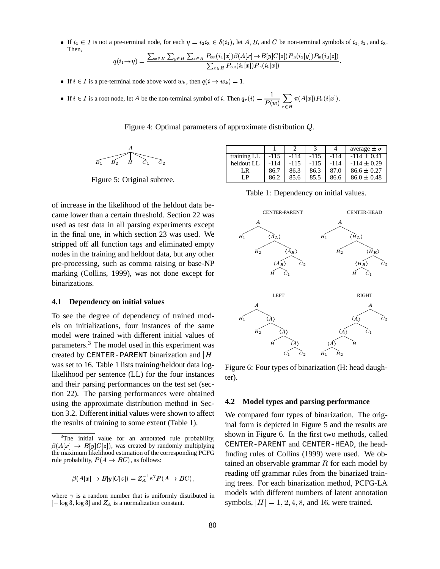• If  $i_1 \in I$  is not a pre-terminal node, for each  $\eta = i_2 i_3 \in \delta(i_1)$ , let A, B, and C be non-terminal symbols of  $i_1, i_2$ , and  $i_3$ . Then,  $\bm{D} = (i, [\cdot, ]) \rho(A[\cdot, ] \rightarrow \bm{D}[\cdot, ] \bm{C}[\cdot, ]) \bm{D}$  (i.  $[\cdot, ] \bm{D}$ ) (i.

$$
q(i_1 \rightarrow \eta) = \frac{\sum_{x \in H} \sum_{y \in H} \sum_{z \in H} P_{\text{out}}(i_1[x]) \beta(A[x] \rightarrow B[y]C[z]) P_{\text{in}}(i_2[y]) P_{\text{in}}(i_3[z])}{\sum_{x \in H} P_{\text{out}}(i_1[x]) P_{\text{in}}(i_1[x])}
$$

• If  $i \in I$  is a pre-terminal node above word  $w_k$ , then  $q(i \rightarrow w_k) = 1$ .

• If 
$$
i \in I
$$
 is a root node, let A be the non-terminal symbol of i. Then  $q_r(i) = \frac{1}{P(w)} \sum_{x \in H} \pi(A[x]) P_{in}(i[x])$ 

Figure 4: Optimal parameters of approximate distribution  $Q$ .

$$
\overbrace{B_1 \qquad B_2 \qquad H}^{A} \qquad \qquad C_1 \qquad C_2
$$

Figure 5: Original subtree.

of increase in the likelihood of the heldout data became lower than a certain threshold. Section 22 was used as test data in all parsing experiments except in the final one, in which section 23 was used. We stripped off all function tags and eliminated empty nodes in the training and heldout data, but any other pre-processing, such as comma raising or base-NP marking (Collins, 1999), was not done except for hinarizations

#### Dependency on initial values  $4.1$

To see the degree of dependency of trained models on initializations, four instances of the same model were trained with different initial values of parameters.<sup>3</sup> The model used in this experiment was created by CENTER-PARENT binarization and  $|H|$ was set to 16. Table 1 lists training/heldout data loglikelihood per sentence (LL) for the four instances and their parsing performances on the test set (section 22). The parsing performances were obtained using the approximate distribution method in Section 3.2. Different initial values were shown to affect the results of training to some extent (Table 1).

$$
\beta(A[x] \to B[y]C[z]) = Z_A^{-1}e^{\gamma}P(A \to BC),
$$

where  $\gamma$  is a random number that is uniformly distributed in  $[-\log 3, \log 3]$  and  $Z_A$  is a normalization constant.

|             |        |        |      |      | average $\pm \sigma$ |
|-------------|--------|--------|------|------|----------------------|
| training LL | -115   | -114   | -115 | -114 | $-114 \pm 0.41$      |
| heldout LL  | $-114$ | $-115$ | -115 | -114 | $-114 \pm 0.29$      |
| LR          | 86.7   | 86.3   | 86.3 | 87.0 | $86.6 \pm 0.27$      |
| ΙP          | 86.2   | 85.6   | 85.5 | 86.6 | $86.0 \pm 0.48$      |

Table 1: Dependency on initial values.



Figure 6: Four types of binarization (H: head daughter).

#### $4.2$ Model types and parsing performance

We compared four types of binarization. The original form is depicted in Figure 5 and the results are shown in Figure 6. In the first two methods, called CENTER-PARENT and CENTER-HEAD, the headfinding rules of Collins (1999) were used. We obtained an observable grammar  $R$  for each model by reading off grammar rules from the binarized training trees. For each binarization method, PCFG-LA models with different numbers of latent annotation symbols,  $|H| = 1, 2, 4, 8$ , and 16, were trained.

 ${}^{3}$ The initial value for an annotated rule probability,  $\beta(A[x] \rightarrow B[y]C[z])$ , was created by randomly multiplying the maximum likelihood estimation of the corresponding PCFG rule probability,  $P(A \rightarrow BC)$ , as follows: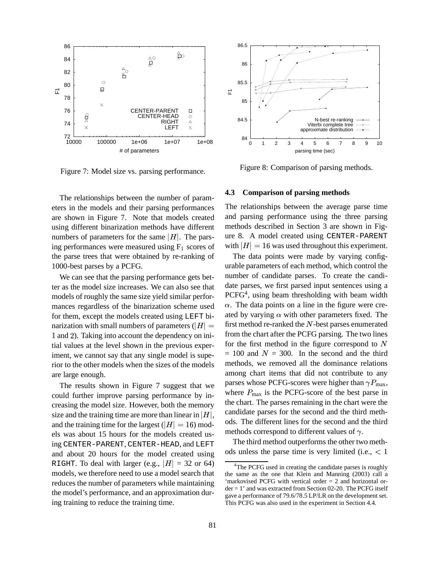

Figure 7: Model size vs. parsing performance.

The relationships between the number of parameters in the models and their parsing performances are shown in Figure 7. Note that models created using different binarization methods have different numbers of parameters for the same  $|H|$ . The parsing performances were measured using  $F_1$  scores of the parse trees that were obtained by re-ranking of 1000-best parses by a PCFG.

We can see that the parsing performance gets better as the model size increases. We can also see that models of roughly the same size yield similar performances regardless of the binarization scheme used for them, except the models created using LEFT binarization with small numbers of parameters ( $|H|$  = 1 and 2). Taking into account the dependency on initial values at the level shown in the previous experiment, we cannot say that any single model is superior to the other models when the sizes of the models are large enough.

The results shown in Figure 7 suggest that we could further improve parsing performance by increasing the model size. However, both the memory size and the training time are more than linear in  $|H|$ , and the training time for the largest ( $|H| = 16$ ) models was about 15 hours for the models created using CENTER-PARENT, CENTER-HEAD, and LEFT and about 20 hours for the model created using RIGHT. To deal with larger (e.g.,  $|H| = 32$  or 64) models, we therefore need to use a model search that reduces the number of parameters while maintaining the model's performance, and an approximation during training to reduce the training time.



Figure 8: Comparison of parsing methods.

### **4.3 Comparison of parsing methods**

The relationships between the average parse time and parsing performance using the three parsing methods described in Section 3 are shown in Figure 8. A model created using CENTER-PARENT with  $|H| = 16$  was used throughout this experiment.

The data points were made by varying configurable parameters of each method, which control the number of candidate parses. To create the candidate parses, we first parsed input sentences using a PCFG<sup>4</sup>, using beam thresholding with beam width  $\alpha$ . The data points on a line in the figure were created by varying  $\alpha$  with other parameters fixed. The first method re-ranked the  $N$ -best parses enumerated from the chart after the PCFG parsing. The two lines for the first method in the figure correspond to  $N$  $= 100$  and  $N = 300$ . In the second and the third methods, we removed all the dominance relations among chart items that did not contribute to any parses whose PCFG-scores were higher than  $\gamma P_{\text{max}}$ , where  $P_{\text{max}}$  is the PCFG-score of the best parse in the chart. The parses remaining in the chart were the candidate parses for the second and the third methods. The different lines for the second and the third methods correspond to different values of  $\gamma$ .

The third method outperforms the other two methods unless the parse time is very limited (i.e.,  $\langle 1 \rangle$ 

<sup>&</sup>lt;sup>4</sup>The PCFG used in creating the candidate parses is roughly the same as the one that Klein and Manning (2003) call a 'markovised PCFG with vertical order = 2 and horizontal order = 1' and was extracted from Section 02-20. The PCFG itself gave a performance of 79.6/78.5 LP/LR on the development set. This PCFG was also used in the experiment in Section 4.4.